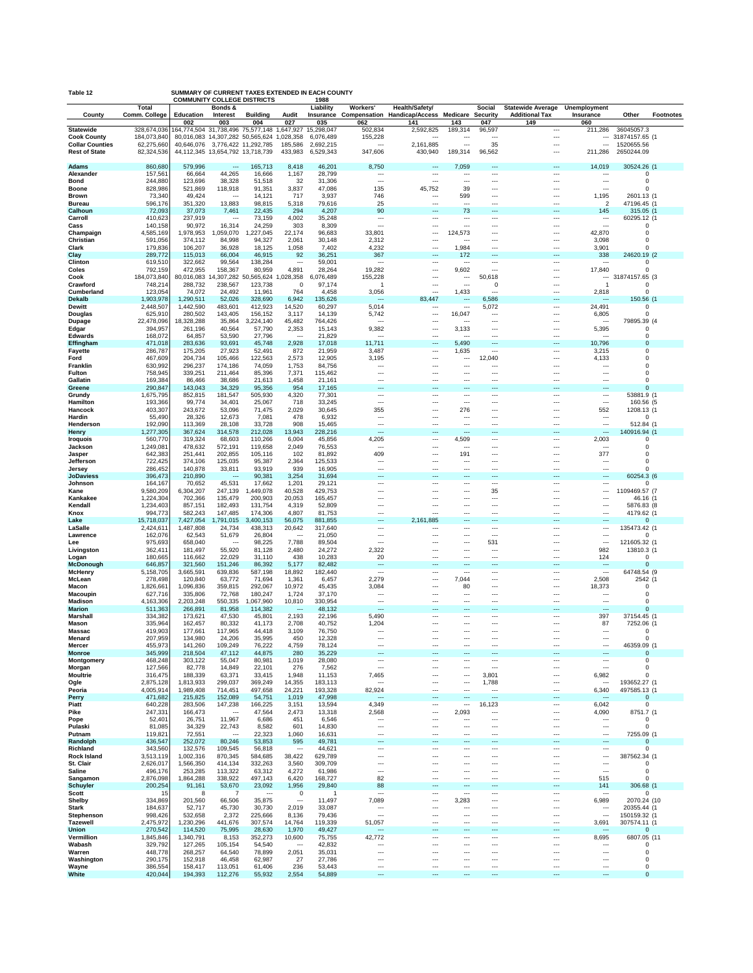| Table 12                                     | SUMMARY OF CURRENT TAXES EXTENDED IN EACH COUNTY<br><b>COMMUNITY COLLEGE DISTRICTS</b><br>1988 |                                   |                                                                     |                           |                                   |                        |                                                      |                                                                 |                                       |                                 |                                                      |                                                      |                              |           |
|----------------------------------------------|------------------------------------------------------------------------------------------------|-----------------------------------|---------------------------------------------------------------------|---------------------------|-----------------------------------|------------------------|------------------------------------------------------|-----------------------------------------------------------------|---------------------------------------|---------------------------------|------------------------------------------------------|------------------------------------------------------|------------------------------|-----------|
|                                              | <b>Total</b>                                                                                   |                                   | Bonds &                                                             |                           |                                   | Liability              | Workers'                                             | Health/Safety/                                                  |                                       | <b>Social</b>                   | <b>Statewide Average</b>                             | Unemployment                                         |                              |           |
| County                                       | Comm. College                                                                                  | Education<br>002                  | Interest<br>003                                                     | <b>Building</b><br>004    | Audit<br>027                      | 035                    | 062                                                  | Insurance Compensation Handicap/Access Medicare Security<br>141 | 143                                   | 047                             | <b>Additional Tax</b><br>149                         | Insurance<br>060                                     | Other                        | Footnotes |
| <b>Statewide</b>                             | 328.674.036                                                                                    | 164,774,504 31,738,496 75,577,148 |                                                                     |                           | 1,647,927                         | 15.298.047             | 502,834                                              | 2,592,825                                                       | 189,314                               | 96,597                          | $\ddotsc$                                            | 211,286                                              | 36045057.3                   |           |
| <b>Cook County</b><br><b>Collar Counties</b> | 184,073,840<br>62,275,660                                                                      |                                   | 80,016,083 14,307,282 50,565,624<br>40,646,076 3,776,422 11,292,785 |                           | 1,028,358<br>185,586              | 6,076,489<br>2,692,215 | 155,228<br>---                                       | $\overline{\phantom{a}}$<br>2,161,885                           | $\overline{\phantom{a}}$              | $\overline{a}$<br>35            | $\cdots$<br>$\overline{\phantom{a}}$                 | ---<br>$\overline{\phantom{a}}$                      | 31874157.65 (1<br>1520655.56 |           |
| <b>Rest of State</b>                         | 82,324,536                                                                                     |                                   | 44,112,345 13,654,792 13,718,739                                    |                           | 433,983                           | 6,529,343              | 347,606                                              | 430,940                                                         | 189,314                               | 96,562                          | $\overline{\phantom{a}}$                             | 211,286                                              | 2650244.09                   |           |
| Adams                                        | 860,680                                                                                        | 579,996                           | $\overline{\phantom{a}}$                                            | 165,713                   | 8,418                             | 46,201                 | 8,750                                                | ---                                                             | 7,059                                 |                                 | $\overline{\phantom{a}}$                             | 14,019                                               | 30524.26 (1                  |           |
| Alexander                                    | 157,561                                                                                        | 66,664                            | 44,265                                                              | 16,666                    | 1,167                             | 28,799                 | ---                                                  | ---                                                             | $\ddotsc$                             | ---<br>---                      | $\ddotsc$                                            | $\ddotsc$                                            | $\Omega$                     |           |
| <b>Bond</b>                                  | 244,880                                                                                        | 123,696                           | 38,328                                                              | 51,518                    | 32                                | 31,306                 | $\overline{\phantom{a}}$                             | ---                                                             | $\overline{\phantom{a}}$              |                                 | ---                                                  | $\overline{\phantom{a}}$                             | $\Omega$                     |           |
| Boone<br><b>Brown</b>                        | 828,986<br>73,340                                                                              | 521,869<br>49,424                 | 118,918<br>$\sim$                                                   | 91,351<br>14,121          | 3,837<br>717                      | 47,086<br>3,937        | 135<br>746                                           | 45,752<br>---                                                   | 39<br>599                             | ---<br>---                      | $\ddotsc$<br>$\overline{\phantom{a}}$                | $\overline{\phantom{a}}$<br>1,195                    | $\Omega$<br>2601.13 (1       |           |
| <b>Bureau</b>                                | 596,176                                                                                        | 351,320                           | 13,883                                                              | 98,815                    | 5,318                             | 79,616                 | 25                                                   | ---                                                             | ---                                   | $\overline{a}$                  | ---                                                  | $\overline{2}$                                       | 47196.45 (1                  |           |
| Calhoun<br>Carroll                           | 72,093<br>410,623                                                                              | 37,073<br>237,919                 | 7,461<br>$\ddotsc$                                                  | 22,435<br>73,159          | 294<br>4,002                      | 4,207<br>35,248        | 90<br>$\ddotsc$                                      | ---<br>---                                                      | 73<br>$\ddotsc$                       | ---<br>---                      | ---<br>$\ddotsc$                                     | 145<br>$\ddotsc$                                     | 315.05 (1<br>60295.12 (1     |           |
| Cass                                         | 140,158                                                                                        | 90,972                            | 16,314                                                              | 24,259                    | 303                               | 8,309                  | $\overline{\phantom{a}}$                             | ---                                                             | ---                                   | ---                             | ---                                                  | $\overline{\phantom{a}}$                             | 0                            |           |
| Champaign                                    | 4,585,169                                                                                      | 1,978,953                         | ,059,070<br>-1                                                      | 1,227,045                 | 22,174                            | 96,683                 | 33,801                                               | ---                                                             | 124,573                               | ---                             | $\overline{\phantom{a}}$                             | 42,870                                               | $\Omega$                     |           |
| Christian<br>Clark                           | 591,056<br>179,836                                                                             | 374,112<br>106,207                | 84,998<br>36,928                                                    | 94,327<br>18,125          | 2,061<br>1,058                    | 30,148<br>7,402        | 2,312<br>4,232                                       | ---<br>$\overline{a}$                                           | ---<br>1,984                          | ---<br>---                      | $\ddotsc$<br>$\overline{\phantom{a}}$                | 3,098<br>3,901                                       | $\Omega$<br>$\Omega$         |           |
| Clay                                         | 289,772                                                                                        | 115,013                           | 66,004                                                              | 46,915                    | 92                                | 36,251                 | 367                                                  | ---                                                             | 172                                   | ---                             | ---                                                  | 338                                                  | 24620.19 (2                  |           |
| Clinton<br>Coles                             | 619,510<br>792,159                                                                             | 322,662<br>472,955                | 99,564<br>158,367                                                   | 138,284<br>80,959         | $\ddotsc$<br>4,891                | 59,001<br>28,264       | $\ddotsc$<br>19,282                                  | ---<br>---                                                      | $\ddotsc$<br>9,602                    | ---<br>$\overline{a}$           | $\ddotsc$<br>$\ddotsc$                               | $\sim$<br>17,840                                     | $\Omega$<br>$\Omega$         |           |
| Cook                                         | 184,073,840                                                                                    |                                   | 80,016,083 14,307,282 50,565,624                                    |                           | 1,028,358                         | 6,076,489              | 155,228                                              | ---                                                             | $\ddotsc$                             | 50,618                          | ---                                                  |                                                      | 31874157.65 (3               |           |
| Crawford<br>Cumberland                       | 748,214<br>123,054                                                                             | 288,732<br>74,072                 | 238,567<br>24,492                                                   | 123,738<br>11,961         | $\Omega$<br>764                   | 97,174<br>4,458        | -1<br>3,056                                          | ---<br>---                                                      | $\overline{\phantom{a}}$<br>1,433     | 0<br>$\overline{a}$             | $\ddotsc$<br>$\ddotsc$                               | $\overline{1}$<br>2,818                              | 0<br>$\Omega$                |           |
| Dekalb                                       | 1,903,978                                                                                      | 1,290,511                         | 52,026                                                              | 328,690                   | 6,942                             | 135,626                | $\sim$                                               | 83,447                                                          | $\overline{\phantom{a}}$              | 6,586                           | ---                                                  | $\sim$                                               | 150.56 (1                    |           |
| <b>Dewitt</b>                                | 2,448,507                                                                                      | 1,442,590                         | 483,601                                                             | 412,923                   | 14,520                            | 60,297                 | 5,014                                                | ---                                                             | $\ddotsc$                             | 5,072                           | $\ddotsc$                                            | 24,491                                               | 0                            |           |
| Douglas<br>Dupage                            | 625,910<br>22,478,096                                                                          | 280,502<br>18,328,288             | 143,405<br>35,864                                                   | 156,152<br>3,224,140      | 3,117<br>45,482                   | 14,139<br>764,426      | 5,742<br>$\sim$                                      | ---<br>---                                                      | 16,047<br>---                         | ---<br>---                      | $\ddotsc$<br>$\ddotsc$                               | 6,805<br>$\sim$                                      | $\Omega$<br>79895.39 (4      |           |
| Edgar                                        | 394,957                                                                                        | 261,196                           | 40,564                                                              | 57,790                    | 2,353                             | 15,143                 | 9,382                                                | ---                                                             | 3,133                                 | ---                             | ---                                                  | 5,395                                                | 0                            |           |
| <b>Edwards</b><br>Effingham                  | 168,072<br>471,018                                                                             | 64,857<br>283,636                 | 53,590<br>93,691                                                    | 27,796<br>45,748          | $\ddotsc$<br>2,928                | 21,829<br>17,018       | $\ddotsc$<br>11,711                                  | ---<br>---                                                      | $\ddotsc$<br>5,490                    | ---<br>---                      | ---<br>$\overline{\phantom{a}}$                      | $\sim$<br>10,796                                     | $\Omega$<br>$\Omega$         |           |
| Fayette                                      | 286,787                                                                                        | 175,205                           | 27,923                                                              | 52,491                    | 872                               | 21,959                 | 3,487                                                | ---                                                             | 1,635                                 | ---                             | $\ddotsc$                                            | 3,215                                                | $\Omega$                     |           |
| Ford                                         | 467,609                                                                                        | 204,734<br>296,237                | 105,466                                                             | 122,563<br>74,059         | 2,573                             | 12,905                 | 3,195                                                | ---                                                             | $\ddotsc$                             | 12,040                          | $\ddotsc$                                            | 4,133                                                | $\Omega$<br>$\Omega$         |           |
| Franklin<br><b>Fulton</b>                    | 630,992<br>758,945                                                                             | 339,251                           | 174,186<br>211,464                                                  | 85,396                    | 1,753<br>7,371                    | 84,756<br>115,462      | $\ddotsc$<br>$\overline{\phantom{a}}$                | ---<br>---                                                      | $\ddotsc$<br>---                      | ---<br>---                      | $\ddotsc$<br>$\overline{\phantom{a}}$                | $\ddotsc$<br>$\overline{\phantom{a}}$                | $\Omega$                     |           |
| Gallatin                                     | 169,384                                                                                        | 86,466                            | 38,686                                                              | 21,613                    | 1,458                             | 21,161                 | $\ddotsc$                                            | ---                                                             | $\ddotsc$                             | $\overline{a}$                  | ---                                                  | ---                                                  | $\Omega$                     |           |
| Greene<br>Grundy                             | 290,847<br>1,675,795                                                                           | 143,043<br>852,815                | 34,329<br>181,547                                                   | 95,356<br>505,930         | 954<br>4,320                      | 17,165<br>77,301       | $\overline{\phantom{a}}$<br>$\ddotsc$                | ---<br>---                                                      | $\overline{\phantom{a}}$<br>$\ddotsc$ | ---<br>---                      | ---<br>$\ddotsc$                                     | $\overline{\phantom{a}}$<br>$\ddotsc$                | $\Omega$<br>53881.9 (1       |           |
| Hamilton                                     | 193,366                                                                                        | 99,774                            | 34,401                                                              | 25,067                    | 718                               | 33,245                 | $\overline{\phantom{a}}$                             | ---                                                             | $\overline{\phantom{a}}$              | $\overline{a}$                  | ---                                                  | $\overline{\phantom{a}}$                             | 160.56 (5                    |           |
| Hancock<br>Hardin                            | 403,307                                                                                        | 243,672<br>28,326                 | 53,096<br>12,673                                                    | 71,475<br>7,081           | 2,029<br>478                      | 30,645<br>6,932        | 355<br>$\ddotsc$                                     | ---<br>---                                                      | 276<br>$\overline{\phantom{a}}$       | ---<br>---                      | $\ddotsc$<br>$\ddotsc$                               | 552<br>$\ddotsc$                                     | 1208.13 (1<br>$\Omega$       |           |
| Henderson                                    | 55,490<br>192,090                                                                              | 113,369                           | 28,108                                                              | 33,728                    | 908                               | 15,465                 | $\overline{\phantom{a}}$                             | $\overline{a}$                                                  | ---                                   | ---                             | $\overline{\phantom{a}}$                             | $\overline{\phantom{a}}$                             | 512.84 (1                    |           |
| <b>Henry</b>                                 | 1,277,305                                                                                      | 367,624                           | 314,578                                                             | 212,028                   | 13,943                            | 228,216                | $\overline{\phantom{a}}$                             | ---                                                             | $\sim$                                | ---                             | ---                                                  | $\overline{\phantom{a}}$                             | 140916.94 (1                 |           |
| <b>Iroquois</b><br>Jackson                   | 560,770<br>1,249,081                                                                           | 319,324<br>478,632                | 68,603<br>572,191                                                   | 110,266<br>119,658        | 6,004<br>2,049                    | 45,856<br>76,553       | 4,205<br>$\sim$                                      | ---<br>---                                                      | 4,509<br>---                          | ---<br>$\overline{a}$           | $\ddotsc$<br>$\ddotsc$                               | 2,003<br>$\ddotsc$                                   | $\Omega$<br>$\Omega$         |           |
| Jasper                                       | 642,383                                                                                        | 251,441                           | 202,855                                                             | 105,116                   | 102                               | 81,892                 | 409                                                  | ---                                                             | 191                                   | $\overline{a}$                  | ---                                                  | 377                                                  | $\Omega$                     |           |
| Jefferson<br>Jersey                          | 722,425<br>286,452                                                                             | 374,106<br>140,878                | 125,035<br>33,811                                                   | 95,387<br>93,919          | 2,364<br>939                      | 125,533<br>16,905      | $\ddotsc$<br>$\ddotsc$                               | ---<br>---                                                      | $\ddotsc$<br>---                      | ---<br>$\overline{a}$           | $\ddotsc$<br>$\ddotsc$                               | $\ddotsc$<br>$\overline{\phantom{a}}$                | $\Omega$<br>$\Omega$         |           |
| <b>JoDaviess</b>                             | 396,473                                                                                        | 210,890                           | ---                                                                 | 90,381                    | 3,254                             | 31,694                 | ---                                                  | ---                                                             | ---                                   | ---                             | ---                                                  | ---                                                  | 60254.3 (6                   |           |
| Johnson                                      | 164,167                                                                                        | 70,652                            | 45,531<br>247,139                                                   | 17,662                    | 1,201<br>40,528                   | 29,121                 | $\ddotsc$                                            | ---                                                             | $\ddotsc$                             | ---<br>35                       | $\ddotsc$                                            | ---                                                  | n<br>1109469.57 (7           |           |
| Kane<br>Kankakee                             | 9,580,209<br>1,224,304                                                                         | 6,304,207<br>702,366              | 135,479                                                             | ,449,078<br>-1<br>200,903 | 20,053                            | 429,753<br>165,457     | $\ddotsc$<br>---                                     | ---<br>---                                                      | ---<br>---                            | ---                             | $\ddotsc$<br>$\overline{\phantom{a}}$                | $\ddotsc$<br>$\overline{\phantom{a}}$                | 46.16 (1                     |           |
| Kendall                                      | 1,234,403                                                                                      | 857,151                           | 182,493                                                             | 131,754                   | 4,319                             | 52,809                 | $\ddotsc$                                            | ---                                                             | ---                                   |                                 | ---                                                  | $\overline{\phantom{a}}$                             | 5876.83 (8                   |           |
| Knox<br>Lake                                 | 994,773<br>15,718,037                                                                          | 582,243<br>7,427,054              | 147,485<br>1,791,015                                                | 174,306<br>3,400,153      | 4,807<br>56,075                   | 81,753<br>881,855      | $\ddotsc$<br>$\overline{\phantom{a}}$                | ---<br>2,161,885                                                | ---<br>---                            | ---<br>$---$                    | ---<br>---                                           | $\overline{\phantom{a}}$<br>---                      | 4179.62 (1<br>$\Omega$       |           |
| LaSalle                                      | 2,424,611                                                                                      | 1,487,808                         | 24,734                                                              | 438,313                   | 20,642                            | 317,640                | $\ddotsc$                                            | $\overline{a}$                                                  | $\overline{\phantom{a}}$              | ---                             | $\ddotsc$                                            | $\ddotsc$                                            | 135473.42 (1                 |           |
| Lawrence<br>Lee                              | 162,076<br>975,693                                                                             | 62,543<br>658,040                 | 51,679<br>$\ddotsc$                                                 | 26,804<br>98,225          | $\cdots$<br>7,788                 | 21,050<br>89,504       | $\overline{\phantom{a}}$<br>$\overline{\phantom{a}}$ | ---<br>---                                                      | $\ddotsc$<br>---                      | $\overline{\phantom{a}}$<br>531 | $\ddotsc$<br>$\ddotsc$                               | $\ddotsc$<br>$\overline{\phantom{a}}$                | $\Omega$<br>121605.32 (1     |           |
| Livingston                                   | 362,411                                                                                        | 181,497                           | 55,920                                                              | 81,128                    | 2,480                             | 24,272                 | 2,322                                                | ---                                                             | ---                                   | $\overline{a}$                  | $\overline{\phantom{a}}$                             | 982                                                  | 13810.3 (1                   |           |
| Logan<br><b>McDonough</b>                    | 180,665<br>646,857                                                                             | 116,662<br>321,560                | 22,029<br>151,246                                                   | 31,110<br>86,392          | 438<br>5,177                      | 10,283<br>82,482       | 20<br>$\overline{\phantom{a}}$                       | ---<br>---                                                      | $\overline{\phantom{a}}$<br>---       | $\overline{a}$<br>---           | $\overline{\phantom{a}}$<br>$\overline{\phantom{a}}$ | 124<br>$\overline{\phantom{a}}$                      | $\Omega$<br>$\Omega$         |           |
| <b>McHenry</b>                               | 5,158,705                                                                                      | 3,665,591                         | 639,836                                                             | 587,198                   | 18,892                            | 182,440                | $\ddotsc$                                            | ---                                                             | $\overline{\phantom{a}}$              | ---                             | $\ddotsc$                                            | $\overline{\phantom{a}}$                             | 64748.54 (9                  |           |
| McLean                                       | 278,498                                                                                        | 120,840                           | 63,772                                                              | 71,694                    | 1,361                             | 6,457                  | 2.279                                                | ---                                                             | 7,044                                 |                                 | $\ddotsc$                                            | 2,508                                                | 2542 (1                      |           |
| Macon<br>Macoupin                            | 1,826,661<br>627,716                                                                           | 1,096,836<br>335,806              | 359,815<br>72,768                                                   | 292,067<br>180,247        | 10,972<br>1,724                   | 45,435<br>37,170       | 3,084<br>$\ddotsc$                                   | ---<br>---                                                      | 80<br>$\ddotsc$                       | ---<br>---                      | $\ddotsc$<br>$\ddotsc$                               | 18,373<br>$\ddotsc$                                  | $\Omega$<br>$\Omega$         |           |
| Madison                                      | 4,163,306                                                                                      | 2,203,248                         | 550,335                                                             | 1,067,960                 | 10,810                            | 330,954                | $\overline{\phantom{a}}$                             | ---                                                             | ---                                   | ---                             | $\overline{\phantom{a}}$                             | $\overline{\phantom{a}}$                             | $\Omega$                     |           |
| <b>Marion</b><br>Marshall                    | 511,363<br>334,382                                                                             | 266,891<br>173,621                | 81,958<br>47,530                                                    | 114,382<br>45,801         | $\sim$<br>2,193                   | 48,132<br>22,196       | $\overline{\phantom{a}}$<br>5,490                    | ---<br>---                                                      | ---<br>---                            | ---<br>---                      | ---<br>$\ddotsc$                                     | $\sim$<br>397                                        | $\Omega$<br>37154.45 (1      |           |
| Mason                                        | 335,964                                                                                        | 162,457                           | 80,332                                                              | 41,173                    | 2,708                             | 40,752                 | 1,204                                                | ---                                                             | ---                                   | $\overline{a}$                  | $\overline{\phantom{a}}$                             | 87                                                   | 7252.06 (1                   |           |
| <b>Massac</b><br>Menard                      | 419,903<br>207,959                                                                             | 177,661<br>134,980                | 117,965<br>24,206                                                   | 44,418<br>35.995          | 3,109<br>450                      | 76,750                 | ---                                                  | ---<br>$\overline{a}$                                           | ---<br>---                            | $\overline{a}$                  | $\overline{\phantom{a}}$                             | $\cdots$<br>                                         | $\Omega$<br>$\Omega$         |           |
| Mercer                                       | 455,973                                                                                        | 141,260                           | 109,249                                                             | 76,222                    | 4,759                             | 12,328<br>78,124       | $\ddotsc$                                            | ---                                                             | ---                                   | ---                             | ---                                                  | ---                                                  | 46359.09 (1                  |           |
| <b>Monroe</b>                                | 345,999                                                                                        | 218,504<br>303,122                | 47,112<br>55,047                                                    | 44,875<br>80,981          | 280<br>1,019                      | 35,229<br>28,080       | $\overline{\phantom{a}}$<br>$\ldots$                 | ---<br>---                                                      | ---<br>$\ddotsc$                      | ---<br>$\ddotsc$                | $\overline{\phantom{a}}$<br>$\cdots$                 | $\overline{\phantom{a}}$<br>$\cdots$                 | $\Omega$<br>$\Omega$         |           |
| Montgomery<br>Morgan                         | 468,248<br>127,566                                                                             | 82,778                            | 14,849                                                              | 22,101                    | 276                               | 7,562                  | $\overline{\phantom{a}}$                             | ---                                                             | $\ddotsc$                             | $\overline{\phantom{a}}$        | $\overline{\phantom{a}}$                             | $\overline{\phantom{a}}$                             | $\Omega$                     |           |
| <b>Moultrie</b>                              | 316,475                                                                                        | 188,339                           | 63,371                                                              | 33,415                    | 1,948                             | 11,153                 | 7,465                                                | ---                                                             | $\ddotsc$                             | 3,801                           | $\overline{\phantom{a}}$                             | 6,982                                                | $\Omega$<br>193652.27 (1     |           |
| Ogle<br>Peoria                               | 2,875,128<br>4,005,914                                                                         | 1,813,933<br>1,989,408            | 299,037<br>714,451                                                  | 369,249<br>497,658        | 14,355<br>24,221                  | 183,113<br>193,328     | $\overline{\phantom{a}}$<br>82,924                   | ---<br>---                                                      | $\ddotsc$<br>$\ddotsc$                | 1,788<br>$\ddotsc$              | $\overline{\phantom{a}}$<br>$\overline{\phantom{a}}$ | $\cdots$<br>6,340                                    | 497585.13 (1                 |           |
| <b>Perry</b>                                 | 471,682                                                                                        | 215,825                           | 152,089                                                             | 54,751                    | 1,019                             | 47,998                 | $\overline{\phantom{a}}$                             | ---                                                             | ---                                   | $\overline{\phantom{a}}$        | $\overline{\phantom{a}}$                             | $\sim$                                               | $\Omega$                     |           |
| Piatt<br>Pike                                | 640,228<br>247,331                                                                             | 283,506<br>166,473                | 147,238<br>$\ddotsc$                                                | 166,225<br>47,564         | 3,151<br>2,473                    | 13,594<br>13,318       | 4,349<br>2,568                                       | ---<br>---                                                      | $\ddotsc$<br>2,093                    | 16,123<br>---                   | $\cdots$<br>$\overline{\phantom{a}}$                 | 6,042<br>4,090                                       | $\Omega$<br>8751.7 (1        |           |
| Pope                                         | 52,401                                                                                         | 26,751                            | 11,967                                                              | 6,686                     | 451                               | 6,546                  | $\ddotsc$                                            | ---                                                             | $\ddotsc$                             |                                 | $\overline{\phantom{a}}$                             | $\sim$                                               | $\Omega$                     |           |
| Pulaski<br>Putnam                            | 81,085<br>119,821                                                                              | 34,329<br>72,551                  | 22,743<br>$\overline{\phantom{a}}$                                  | 8,582<br>22,323           | 601<br>1,060                      | 14,830<br>16,631       | $\overline{\phantom{a}}$<br>$\overline{\phantom{a}}$ | ---<br>---                                                      | $\overline{\phantom{a}}$<br>$\ddotsc$ | $\overline{\phantom{a}}$<br>    | $\overline{\phantom{a}}$<br>$\overline{\phantom{a}}$ | $\overline{\phantom{a}}$<br>$\overline{\phantom{a}}$ | $\Omega$<br>7255.09 (1       |           |
| Randolph                                     | 436,547                                                                                        | 252,072                           | 80,246                                                              | 53,853                    | 595                               | 49,781                 | $\overline{\phantom{a}}$                             | ---                                                             | ---                                   | ---                             | $\overline{\phantom{a}}$                             | $\sim$                                               | $\Omega$                     |           |
| Richland                                     | 343,560                                                                                        | 132,576                           | 109,545                                                             | 56,818                    | $\cdots$                          | 44,621                 | $\ddotsc$                                            | ---                                                             | ---                                   | ---                             | $\cdots$                                             | $\cdots$                                             | $\Omega$                     |           |
| <b>Rock Island</b><br>St. Clair              | 3,513,119<br>2,626,017                                                                         | 1,002,316<br>1,566,350            | 870,345<br>414,134                                                  | 584,685<br>332,263        | 38,422<br>3,560                   | 629,789<br>309,709     | $\overline{\phantom{a}}$<br>$\overline{\phantom{a}}$ | $\overline{\phantom{a}}$<br>---                                 | $\ddotsc$<br>$\ddotsc$                | <br>                            | $\overline{\phantom{a}}$<br>$\overline{\phantom{a}}$ | $\overline{\phantom{a}}$<br>$\cdots$                 | 387562.34 (1<br>$\Omega$     |           |
| Saline                                       | 496,176                                                                                        | 253,285                           | 113,322                                                             | 63,312                    | 4,272                             | 61,986                 | $\overline{\phantom{a}}$                             | ---                                                             | ---                                   | $\overline{\phantom{a}}$        | $\overline{\phantom{a}}$                             | $\overline{\phantom{a}}$                             | $\Omega$                     |           |
| Sangamon<br><b>Schuyler</b>                  | 2,876,098<br>200,254                                                                           | 1,864,288<br>91,161               | 338,922<br>53,670                                                   | 497,143<br>23,092         | 6,420<br>1,956                    | 168,727<br>29,840      | 82<br>88                                             | $\overline{a}$<br>---                                           | $\overline{\phantom{a}}$<br>---       | <br>                            | <br>$\overline{\phantom{a}}$                         | 515<br>141                                           | $\Omega$<br>306.68 (1        |           |
| Scott                                        | 15                                                                                             | 8                                 | $\overline{7}$                                                      | $\sim$                    | $\,0\,$                           | -1                     | $\overline{\phantom{a}}$                             | ---                                                             | $\ddotsc$                             | ---                             | $\hspace{0.05cm} \cdots$                             | $\sim$                                               | $\Omega$                     |           |
| Shelby                                       | 334,869                                                                                        | 201,560                           | 66,506                                                              | 35,875                    | $\overline{\phantom{a}}$<br>2,019 | 11,497                 | 7,089                                                | ---<br>---                                                      | 3,283                                 | <br>                            | $\overline{\phantom{a}}$<br>$\overline{\phantom{a}}$ | 6,989                                                | 2070.24 (10                  |           |
| <b>Stark</b><br>Stephenson                   | 184,637<br>998,426                                                                             | 52,717<br>532,658                 | 45,730<br>2,372                                                     | 30,730<br>225,666         | 8,136                             | 33,087<br>79,436       | $\ddotsc$<br>$\overline{\phantom{a}}$                | ---                                                             | $\ddotsc$<br>$\ddotsc$                |                                 | ---                                                  | $\ddotsc$<br>$\overline{\phantom{a}}$                | 20355.44 (1<br>150159.32 (1  |           |
| Tazewell                                     | 2,475,972                                                                                      | 1,230,296                         | 441,676                                                             | 307,574                   | 14,764                            | 119,339                | 51,057                                               | ---                                                             | ---                                   |                                 | $\overline{\phantom{a}}$                             | 3,691                                                | 307574.11 (1                 |           |
| <b>Union</b><br>Vermillion                   | 270,542<br>1,845,846                                                                           | 114,520<br>1,340,791              | 75,995<br>8,153                                                     | 28,630<br>352,273         | 1,970<br>10,600                   | 49,427<br>75,755       | $\overline{\phantom{a}}$<br>42,772                   | ---<br>---                                                      | ---<br>$\ddotsc$                      | <br>---                         | $\overline{\phantom{a}}$<br>$\cdots$                 | $\sim$<br>8,695                                      | $\Omega$<br>6807.05 (11      |           |
| Wabash                                       | 329,792                                                                                        | 127,265                           | 105,154                                                             | 54,540                    | $\cdots$                          | 42,832                 | $\ddotsc$                                            | ---                                                             | ---                                   |                                 | $\overline{\phantom{a}}$                             | $\sim$                                               | $\Omega$                     |           |
| Warren<br>Washington                         | 448,778<br>290,175                                                                             | 268,257<br>152,918                | 64,540<br>46,458                                                    | 78,899<br>62,987          | 2,051<br>27                       | 35,031<br>27,786       | $\overline{\phantom{a}}$<br>$\overline{\phantom{a}}$ | ---<br>---                                                      | ---<br>$\ddotsc$                      | <br>                            | $\overline{\phantom{a}}$<br>$\overline{\phantom{a}}$ | $\overline{\phantom{a}}$<br>$\overline{\phantom{a}}$ | $\Omega$<br>$\Omega$         |           |
| Wayne                                        | 386,554                                                                                        | 158,417                           | 113,051                                                             | 61,406                    | 236                               | 53,443                 | $\overline{\phantom{a}}$                             | ---                                                             | $\ddotsc$                             |                                 | $\overline{\phantom{a}}$                             | $\overline{\phantom{a}}$                             | $\Omega$                     |           |
| White                                        | 420,044                                                                                        | 194,393                           | 112,276                                                             | 55,932                    | 2,554                             | 54,889                 | ---                                                  |                                                                 |                                       |                                 |                                                      |                                                      | $\pmb{0}$                    |           |